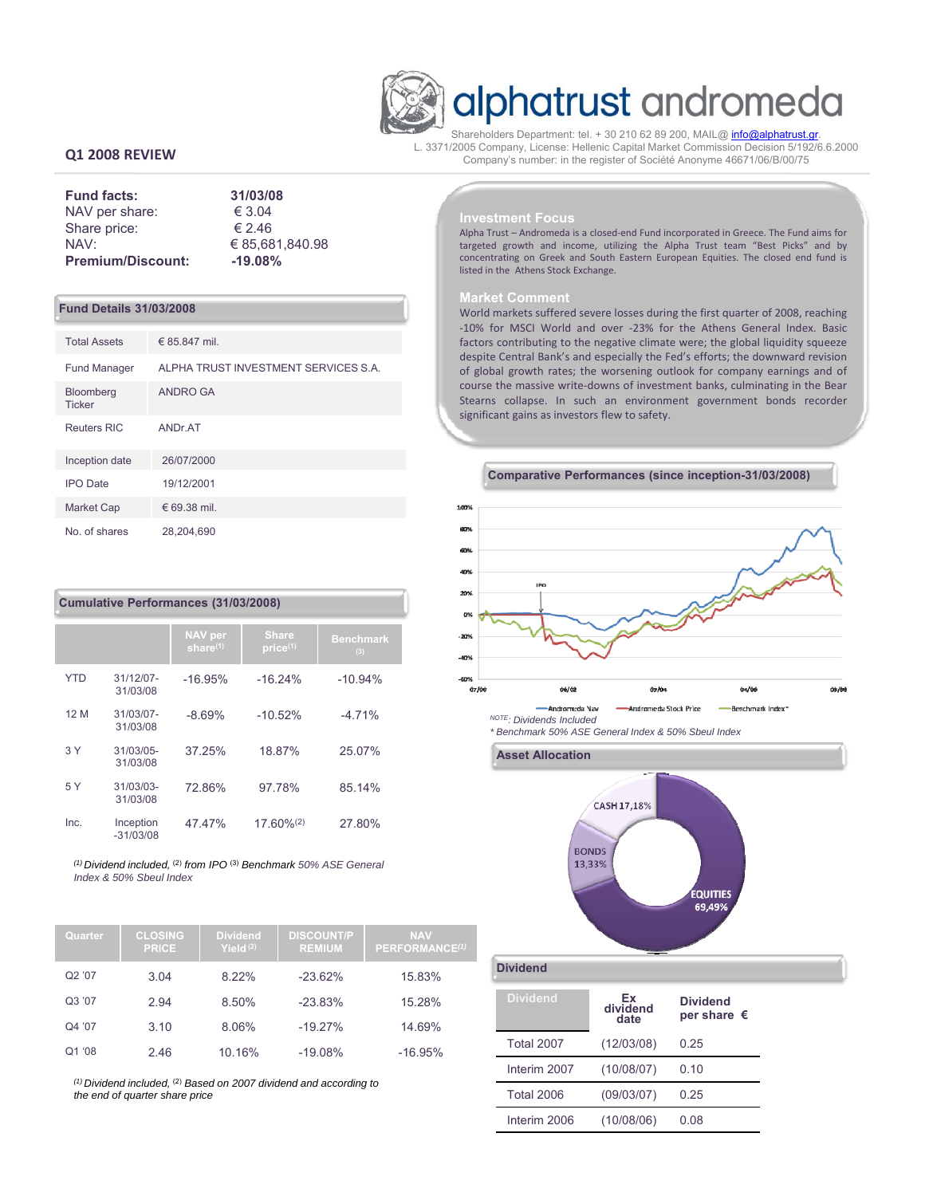

# alphatrust andromeda

Shareholders Department: tel. + 30 210 62 89 200, MAIL@ info@alphatrust.gr. L. 3371/2005 Company, License: Hellenic Capital Market Commission Decision 5/192/6.6.2000 Company's number: in the register of Société Anonyme 46671/06/Β/00/75

# **Q1 2008 REVIEW**

| <b>Fund facts:</b>       | 31/03/08        |
|--------------------------|-----------------|
| NAV per share:           | € 3.04          |
| Share price:             | € 2.46          |
| NAV:                     | € 85.681.840.98 |
| <b>Premium/Discount:</b> | $-19.08%$       |

## **Fund Details 31/03/2008**

| <b>Total Assets</b>               | € 85.847 mil.                        |
|-----------------------------------|--------------------------------------|
| <b>Fund Manager</b>               | ALPHA TRUST INVESTMENT SERVICES S.A. |
| <b>Bloomberg</b><br><b>Ticker</b> | ANDRO GA                             |
| <b>Reuters RIC</b>                | ANDr.AT                              |
| Inception date                    | 26/07/2000                           |
| <b>IPO</b> Date                   | 19/12/2001                           |
| <b>Market Cap</b>                 | € 69.38 mil.                         |
| No. of shares                     | 28,204,690                           |

## **Cumulative Performances (31/03/2008)**

|            |                          | <b>NAV</b> per<br>share $(1)$ | <b>Share</b><br>price(1) | <b>Benchmark</b><br>(3) |
|------------|--------------------------|-------------------------------|--------------------------|-------------------------|
| <b>YTD</b> | 31/12/07-<br>31/03/08    | $-16.95%$                     | $-16.24%$                | $-10.94%$               |
| 12 M       | 31/03/07-<br>31/03/08    | $-8.69%$                      | $-10.52%$                | $-4.71%$                |
| 3 Y        | 31/03/05-<br>31/03/08    | 37.25%                        | 18.87%                   | 25.07%                  |
| 5 Y        | $31/03/03$ -<br>31/03/08 | 72.86%                        | 97.78%                   | 85.14%                  |
| Inc.       | Inception<br>$-31/03/08$ | 47.47%                        | $17.60\%^{(2)}$          | 27.80%                  |

*(1) Dividend included,* (2) *from IPO* (3) *Benchmark 50% ASE General Index & 50% Sbeul Index*

| Quarter | <b>CLOSING</b><br><b>PRICE</b> | <b>Dividend</b><br>Yield $(2)$ | <b>DISCOUNT/P</b><br><b>REMIUM</b> | <b>NAV</b><br>PERFORMANCE <sup>(1)</sup> |
|---------|--------------------------------|--------------------------------|------------------------------------|------------------------------------------|
| Q2 '07  | 3.04                           | 8.22%                          | $-23.62%$                          | 15.83%                                   |
| Q3'07   | 2.94                           | 8.50%                          | $-23.83%$                          | 15.28%                                   |
| Q4 '07  | 3.10                           | 8.06%                          | $-19.27%$                          | 14.69%                                   |
| Q1'08   | 2.46                           | 10.16%                         | $-19.08%$                          | $-16.95%$                                |

*(1) Dividend included,* (2) *Based on 2007 dividend and according to the end of quarter share price*

#### **Investment Focus**

Alpha Trust – Andromeda is a closed‐end Fund incorporated in Greece. The Fund aims for targeted growth and income, utilizing the Alpha Trust team "Best Picks" and by concentrating on Greek and South Eastern European Equities. The closed end fund is listed in the Athens Stock Exchange.

### **Market Comment**

World markets suffered severe losses during the first quarter of 2008, reaching ‐10% for MSCI World and over ‐23% for the Athens General Index. Basic factors contributing to the negative climate were; the global liquidity squeeze despite Central Bank's and especially the Fed's efforts; the downward revision of global growth rates; the worsening outlook for company earnings and of course the massive write‐downs of investment banks, culminating in the Bear Stearns collapse. In such an environment government bonds recorder significant gains as investors flew to safety.



*\* Benchmark 50% ASE General Index & 50% Sbeul Index*



## **Dividend**

| <b>Dividend</b>   | Ex<br>dividend<br>date | <b>Dividend</b><br>per share $\epsilon$ |
|-------------------|------------------------|-----------------------------------------|
| <b>Total 2007</b> | (12/03/08)             | 0.25                                    |
| Interim 2007      | (10/08/07)             | 0.10                                    |
| <b>Total 2006</b> | (09/03/07)             | 0.25                                    |
| Interim 2006      | (10/08/06)             | 0 Q8                                    |